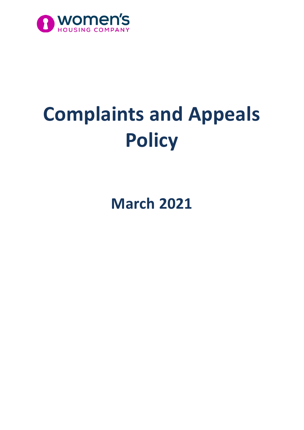

# **Complaints and Appeals Policy**

**March 2021**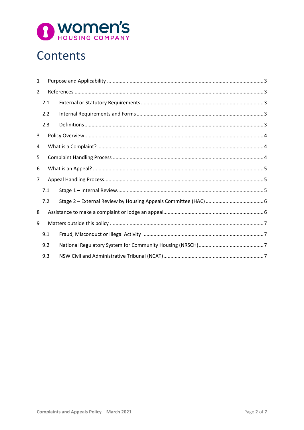

# Contents

| 1              |     |  |
|----------------|-----|--|
| $\overline{2}$ |     |  |
|                | 2.1 |  |
|                | 2.2 |  |
|                | 2.3 |  |
| 3              |     |  |
| 4              |     |  |
| 5              |     |  |
| 6              |     |  |
| $\overline{7}$ |     |  |
|                | 7.1 |  |
|                | 7.2 |  |
| 8              |     |  |
| 9              |     |  |
|                | 9.1 |  |
|                | 9.2 |  |
|                | 9.3 |  |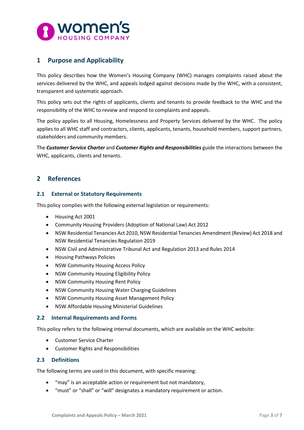

# <span id="page-2-0"></span>**1 Purpose and Applicability**

This policy describes how the Women's Housing Company (WHC) manages complaints raised about the services delivered by the WHC, and appeals lodged against decisions made by the WHC, with a consistent, transparent and systematic approach.

This policy sets out the rights of applicants, clients and tenants to provide feedback to the WHC and the responsibility of the WHC to review and respond to complaints and appeals.

The policy applies to all Housing, Homelessness and Property Services delivered by the WHC. The policy applies to all WHC staff and contractors, clients, applicants, tenants, household members, support partners, stakeholders and community members.

The *Customer Service Charter* and *Customer Rights and Responsibilities* guide the interactions between the WHC, applicants, clients and tenants.

### <span id="page-2-1"></span>**2 References**

#### <span id="page-2-2"></span>**2.1 External or Statutory Requirements**

This policy complies with the following external legislation or requirements:

- Housing Act 2001
- Community Housing Providers (Adoption of National Law) Act 2012
- NSW Residential Tenancies Act 2010, NSW Residential Tenancies Amendment (Review) Act 2018 and NSW Residential Tenancies Regulation 2019
- NSW Civil and Administrative Tribunal Act and Regulation 2013 and Rules 2014
- Housing Pathways Policies
- NSW Community Housing Access Policy
- NSW Community Housing Eligibility Policy
- NSW Community Housing Rent Policy
- NSW Community Housing Water Charging Guidelines
- NSW Community Housing Asset Management Policy
- NSW Affordable Housing Ministerial Guidelines

#### <span id="page-2-3"></span>**2.2 Internal Requirements and Forms**

This policy refers to the following internal documents, which are available on the WHC website:

- Customer Service Charter
- Customer Rights and Responsibilities

#### <span id="page-2-4"></span>**2.3 Definitions**

The following terms are used in this document, with specific meaning:

- "may" is an acceptable action or requirement but not mandatory,
- "must" or "shall" or "will" designates a mandatory requirement or action.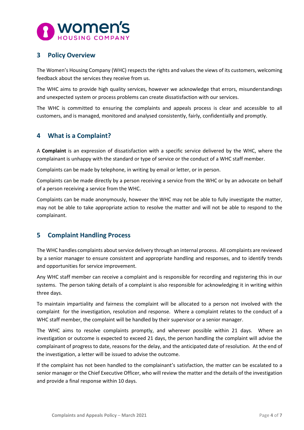

# <span id="page-3-0"></span>**3 Policy Overview**

The Women's Housing Company (WHC) respects the rights and values the views of its customers, welcoming feedback about the services they receive from us.

The WHC aims to provide high quality services, however we acknowledge that errors, misunderstandings and unexpected system or process problems can create dissatisfaction with our services.

The WHC is committed to ensuring the complaints and appeals process is clear and accessible to all customers, and is managed, monitored and analysed consistently, fairly, confidentially and promptly.

# <span id="page-3-1"></span>**4 What is a Complaint?**

A **Complaint** is an expression of dissatisfaction with a specific service delivered by the WHC, where the complainant is unhappy with the standard or type of service or the conduct of a WHC staff member.

Complaints can be made by telephone, in writing by email or letter, or in person.

Complaints can be made directly by a person receiving a service from the WHC or by an advocate on behalf of a person receiving a service from the WHC.

Complaints can be made anonymously, however the WHC may not be able to fully investigate the matter, may not be able to take appropriate action to resolve the matter and will not be able to respond to the complainant.

#### <span id="page-3-2"></span>**5 Complaint Handling Process**

The WHC handles complaints about service delivery through an internal process. All complaints are reviewed by a senior manager to ensure consistent and appropriate handling and responses, and to identify trends and opportunities for service improvement.

Any WHC staff member can receive a complaint and is responsible for recording and registering this in our systems. The person taking details of a complaint is also responsible for acknowledging it in writing within three days.

To maintain impartiality and fairness the complaint will be allocated to a person not involved with the complaint for the investigation, resolution and response. Where a complaint relates to the conduct of a WHC staff member, the complaint will be handled by their supervisor or a senior manager.

The WHC aims to resolve complaints promptly, and wherever possible within 21 days. Where an investigation or outcome is expected to exceed 21 days, the person handling the complaint will advise the complainant of progress to date, reasons for the delay, and the anticipated date of resolution. At the end of the investigation, a letter will be issued to advise the outcome.

If the complaint has not been handled to the complainant's satisfaction, the matter can be escalated to a senior manager or the Chief Executive Officer, who will review the matter and the details of the investigation and provide a final response within 10 days.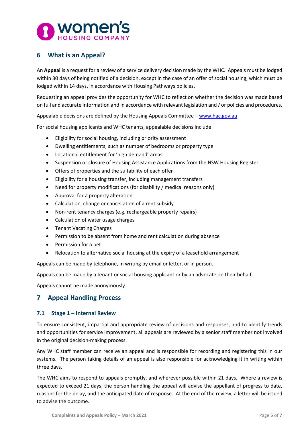

# <span id="page-4-0"></span>**6 What is an Appeal?**

An **Appeal** is a request for a review of a service delivery decision made by the WHC. Appeals must be lodged within 30 days of being notified of a decision, except in the case of an offer of social housing, which must be lodged within 14 days, in accordance with Housing Pathways policies.

Requesting an appeal provides the opportunity for WHC to reflect on whether the decision was made based on full and accurate information and in accordance with relevant legislation and / or policies and procedures.

Appealable decisions are defined by the Housing Appeals Committee - [www.hac.gov.au](http://www.hac.gov.au/)

For social housing applicants and WHC tenants, appealable decisions include:

- Eligibility for social housing, including priority assessment
- Dwelling entitlements, such as number of bedrooms or property type
- Locational entitlement for 'high demand' areas
- Suspension or closure of Housing Assistance Applications from the NSW Housing Register
- Offers of properties and the suitability of each offer
- Eligibility for a housing transfer, including management transfers
- Need for property modifications (for disability / medical reasons only)
- Approval for a property alteration
- Calculation, change or cancellation of a rent subsidy
- Non-rent tenancy charges (e.g. rechargeable property repairs)
- Calculation of water usage charges
- Tenant Vacating Charges
- Permission to be absent from home and rent calculation during absence
- Permission for a pet
- Relocation to alternative social housing at the expiry of a leasehold arrangement

Appeals can be made by telephone, in writing by email or letter, or in person.

Appeals can be made by a tenant or social housing applicant or by an advocate on their behalf.

Appeals cannot be made anonymously.

# <span id="page-4-1"></span>**7 Appeal Handling Process**

#### <span id="page-4-2"></span>**7.1 Stage 1 – Internal Review**

To ensure consistent, impartial and appropriate review of decisions and responses, and to identify trends and opportunities for service improvement, all appeals are reviewed by a senior staff member not involved in the original decision-making process.

Any WHC staff member can receive an appeal and is responsible for recording and registering this in our systems. The person taking details of an appeal is also responsible for acknowledging it in writing within three days.

The WHC aims to respond to appeals promptly, and wherever possible within 21 days. Where a review is expected to exceed 21 days, the person handling the appeal will advise the appellant of progress to date, reasons for the delay, and the anticipated date of response. At the end of the review, a letter will be issued to advise the outcome.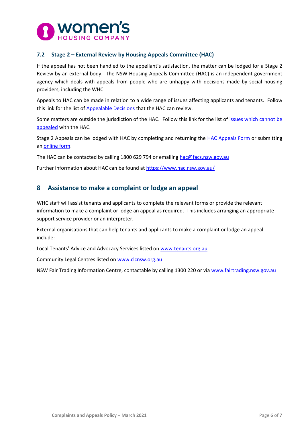

#### <span id="page-5-0"></span>**7.2 Stage 2 – External Review by Housing Appeals Committee (HAC)**

If the appeal has not been handled to the appellant's satisfaction, the matter can be lodged for a Stage 2 Review by an external body. The NSW Housing Appeals Committee (HAC) is an independent government agency which deals with appeals from people who are unhappy with decisions made by social housing providers, including the WHC.

Appeals to HAC can be made in relation to a wide range of issues affecting applicants and tenants. Follow this link for the list of **Appealable Decisions** that the HAC can review.

Some matters are outside the jurisdiction of the HAC. Follow this link for the list of [issues which cannot be](https://www.hac.nsw.gov.au/what-is-an-appeal/what-can-be-appealed/issues-which-cannot-be-appealed)  [appealed](https://www.hac.nsw.gov.au/what-is-an-appeal/what-can-be-appealed/issues-which-cannot-be-appealed) with the HAC.

Stage 2 Appeals can be lodged with HAC by completing and returning the [HAC Appeals Form](https://www.hac.nsw.gov.au/__data/assets/pdf_file/0003/333849/HAC-FORM-2016.pdf) or submitting a[n online form.](https://www.hac.nsw.gov.au/how-to-appeal/appeal-online)

The HAC can be contacted by calling 1800 629 794 or emailing [hac@facs.nsw.gov.au](mailto:hac@facs.nsw.gov.au)

Further information about HAC can be found at<https://www.hac.nsw.gov.au/>

# <span id="page-5-1"></span>**8 Assistance to make a complaint or lodge an appeal**

WHC staff will assist tenants and applicants to complete the relevant forms or provide the relevant information to make a complaint or lodge an appeal as required. This includes arranging an appropriate support service provider or an interpreter.

External organisations that can help tenants and applicants to make a complaint or lodge an appeal include:

Local Tenants' Advice and Advocacy Services listed on [www.tenants.org.au](http://www.tenants.org.au/)

Community Legal Centres listed on [www.clcnsw.org.au](http://www.clcnsw.org.au/)

NSW Fair Trading Information Centre, contactable by calling 1300 220 or vi[a www.fairtrading.nsw.gov.au](http://www.fairtrading.nsw.gov.au/)